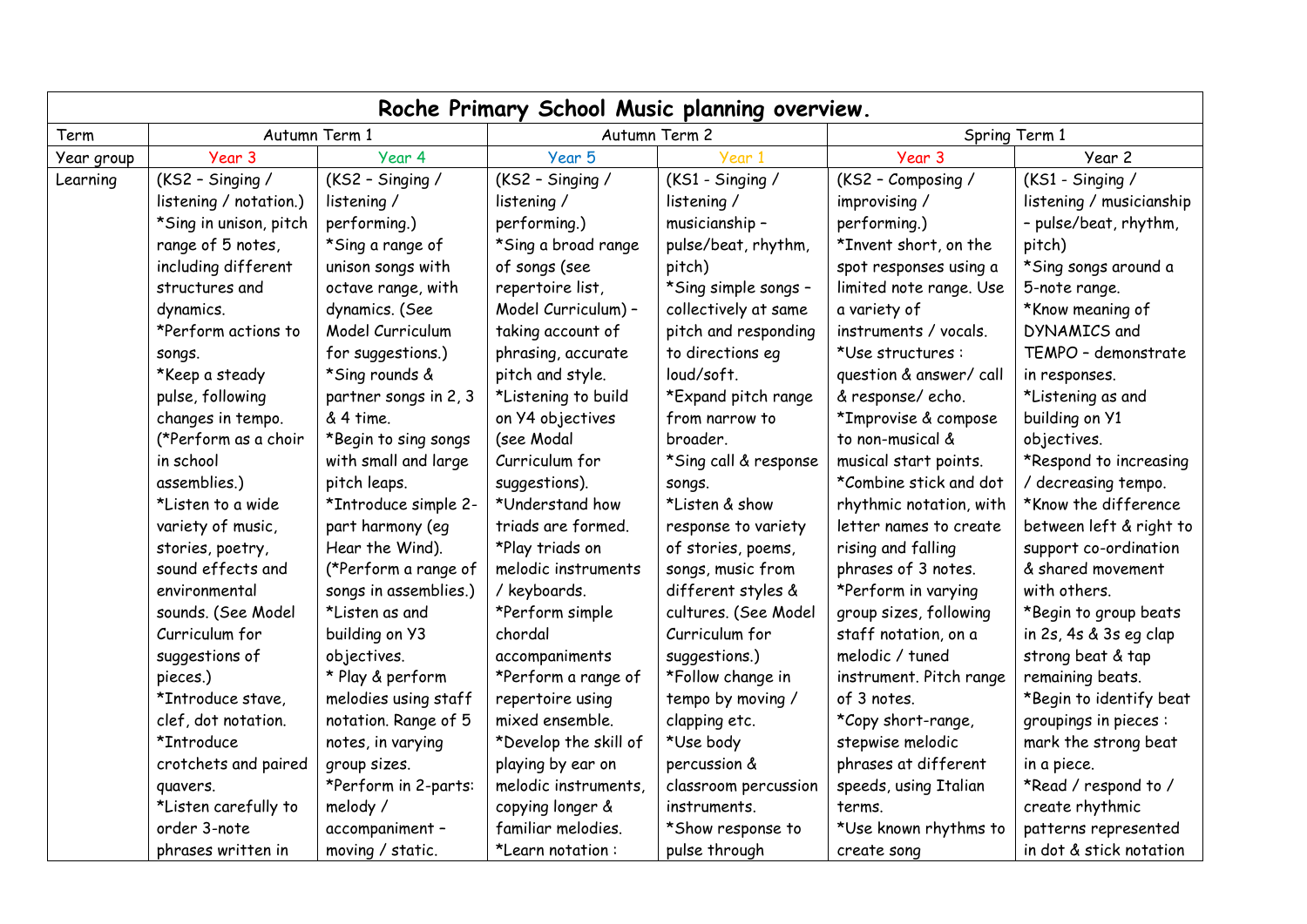| Roche Primary School Music planning overview. |                        |                       |                       |                       |                         |                          |
|-----------------------------------------------|------------------------|-----------------------|-----------------------|-----------------------|-------------------------|--------------------------|
| Term                                          | Autumn Term 1          |                       | Autumn Term 2         |                       | Spring Term 1           |                          |
| Year group                                    | Year 3                 | Year 4                | Year 5                | Year 1                | Year 3                  | Year 2                   |
| Learning                                      | (KS2 - Singing /       | (KS2 - Singing /      | (KS2 - Singing /      | (KS1 - Singing /      | (KS2 - Composing /      | (KS1 - Singing /         |
|                                               | listening / notation.) | listening /           | listening /           | listening /           | improvising /           | listening / musicianship |
|                                               | *Sing in unison, pitch | performing.)          | performing.)          | musicianship -        | performing.)            | - pulse/beat, rhythm,    |
|                                               | range of 5 notes,      | *Sing a range of      | *Sing a broad range   | pulse/beat, rhythm,   | *Invent short, on the   | pitch)                   |
|                                               | including different    | unison songs with     | of songs (see         | pitch)                | spot responses using a  | *Sing songs around a     |
|                                               | structures and         | octave range, with    | repertoire list,      | *Sing simple songs -  | limited note range. Use | 5-note range.            |
|                                               | dynamics.              | dynamics. (See        | Model Curriculum) -   | collectively at same  | a variety of            | *Know meaning of         |
|                                               | *Perform actions to    | Model Curriculum      | taking account of     | pitch and responding  | instruments / vocals.   | DYNAMICS and             |
|                                               | songs.                 | for suggestions.)     | phrasing, accurate    | to directions eq      | *Use structures:        | TEMPO - demonstrate      |
|                                               | *Keep a steady         | *Sing rounds &        | pitch and style.      | loud/soft.            | question & answer/ call | in responses.            |
|                                               | pulse, following       | partner songs in 2, 3 | *Listening to build   | *Expand pitch range   | & response/echo.        | *Listening as and        |
|                                               | changes in tempo.      | & 4 time.             | on Y4 objectives      | from narrow to        | *Improvise & compose    | building on Y1           |
|                                               | (*Perform as a choir   | *Begin to sing songs  | (see Modal            | broader.              | to non-musical &        | objectives.              |
|                                               | in school              | with small and large  | Curriculum for        | *Sing call & response | musical start points.   | *Respond to increasing   |
|                                               | assemblies.)           | pitch leaps.          | suggestions).         | songs.                | *Combine stick and dot  | / decreasing tempo.      |
|                                               | *Listen to a wide      | *Introduce simple 2-  | *Understand how       | *Listen & show        | rhythmic notation, with | *Know the difference     |
|                                               | variety of music,      | part harmony (eq      | triads are formed.    | response to variety   | letter names to create  | between left & right to  |
|                                               | stories, poetry,       | Hear the Wind).       | *Play triads on       | of stories, poems,    | rising and falling      | support co-ordination    |
|                                               | sound effects and      | (*Perform a range of  | melodic instruments   | songs, music from     | phrases of 3 notes.     | & shared movement        |
|                                               | environmental          | songs in assemblies.) | / keyboards.          | different styles &    | *Perform in varying     | with others.             |
|                                               | sounds. (See Model     | *Listen as and        | *Perform simple       | cultures. (See Model  | group sizes, following  | *Begin to group beats    |
|                                               | Curriculum for         | building on Y3        | chordal               | Curriculum for        | staff notation, on a    | in 2s, 4s & 3s eg clap   |
|                                               | suggestions of         | objectives.           | accompaniments        | suggestions.)         | melodic / tuned         | strong beat & tap        |
|                                               | pieces.)               | * Play & perform      | *Perform a range of   | *Follow change in     | instrument. Pitch range | remaining beats.         |
|                                               | *Introduce stave,      | melodies using staff  | repertoire using      | tempo by moving /     | of 3 notes.             | *Begin to identify beat  |
|                                               | clef, dot notation.    | notation. Range of 5  | mixed ensemble.       | clapping etc.         | *Copy short-range,      | groupings in pieces :    |
|                                               | *Introduce             | notes, in varying     | *Develop the skill of | *Use body             | stepwise melodic        | mark the strong beat     |
|                                               | crotchets and paired   | group sizes.          | playing by ear on     | percussion &          | phrases at different    | in a piece.              |
|                                               | quavers.               | *Perform in 2-parts:  | melodic instruments,  | classroom percussion  | speeds, using Italian   | *Read / respond to /     |
|                                               | *Listen carefully to   | melody /              | copying longer &      | instruments.          | terms.                  | create rhythmic          |
|                                               | order 3-note           | accompaniment -       | familiar melodies.    | *Show response to     | *Use known rhythms to   | patterns represented     |
|                                               | phrases written in     | moving / static.      | *Learn notation:      | pulse through         | create song             | in dot & stick notation  |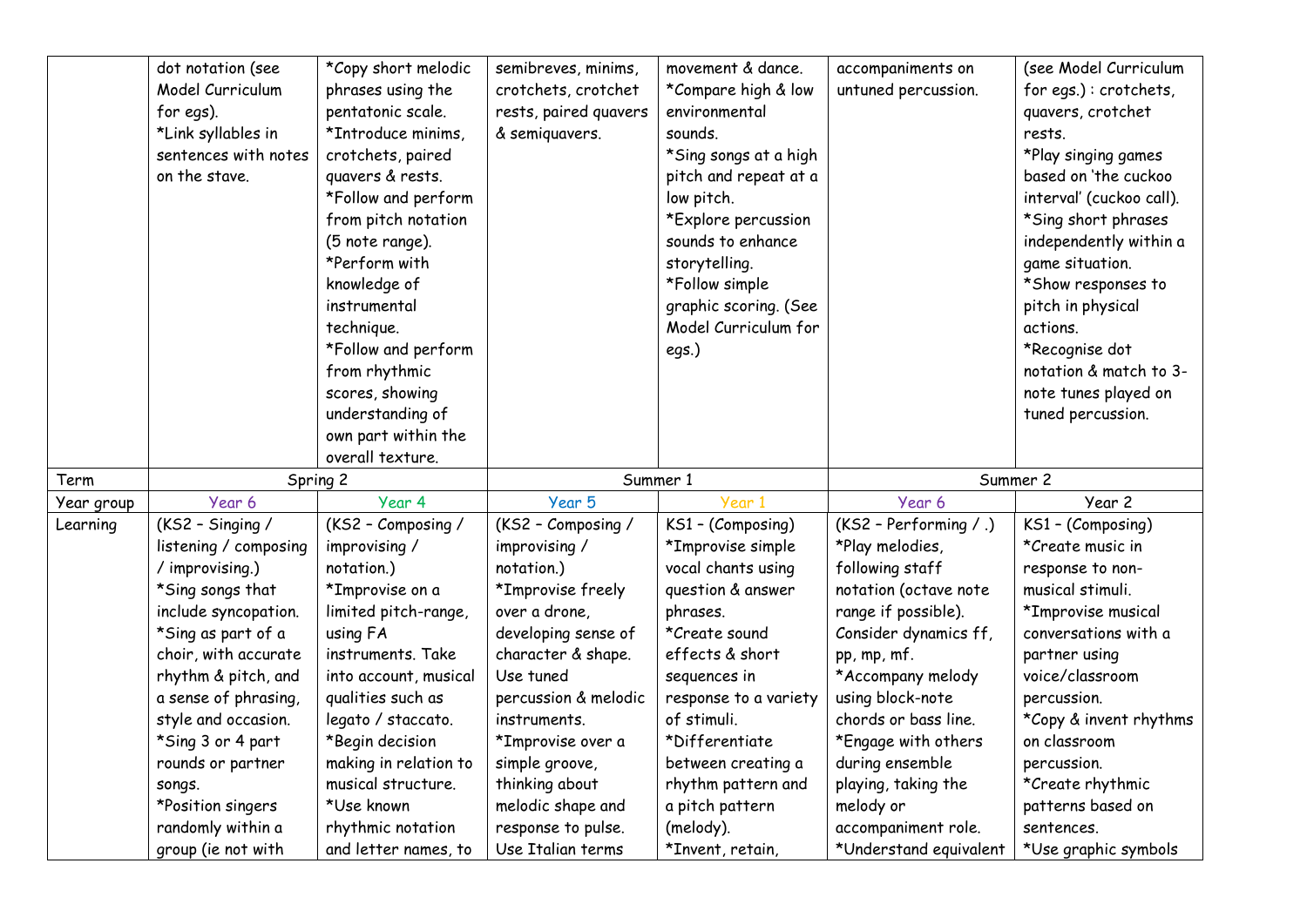|            | dot notation (see<br>Model Curriculum<br>for egs).<br>*Link syllables in<br>sentences with notes<br>on the stave.                                                                                                                                                                                                                                | *Copy short melodic<br>phrases using the<br>pentatonic scale.<br>*Introduce minims,<br>crotchets, paired<br>quavers & rests.<br>*Follow and perform<br>from pitch notation<br>(5 note range).<br>*Perform with<br>knowledge of<br>instrumental<br>technique.<br>*Follow and perform<br>from rhythmic<br>scores, showing<br>understanding of<br>own part within the<br>overall texture. | semibreves, minims,<br>crotchets, crotchet<br>rests, paired quavers<br>& semiquavers.                                                                                                                                                                                                                              | movement & dance.<br>*Compare high & low<br>environmental<br>sounds.<br>*Sing songs at a high<br>pitch and repeat at a<br>low pitch.<br>*Explore percussion<br>sounds to enhance<br>storytelling.<br>*Follow simple<br>graphic scoring. (See<br>Model Curriculum for<br>egs.)                               | accompaniments on<br>untuned percussion.                                                                                                                                                                                                                                                                                                             | (see Model Curriculum<br>for egs.): crotchets,<br>quavers, crotchet<br>rests.<br>*Play singing games<br>based on 'the cuckoo<br>interval' (cuckoo call).<br>*Sing short phrases<br>independently within a<br>game situation.<br>*Show responses to<br>pitch in physical<br>actions.<br>*Recognise dot<br>notation & match to 3-<br>note tunes played on<br>tuned percussion. |
|------------|--------------------------------------------------------------------------------------------------------------------------------------------------------------------------------------------------------------------------------------------------------------------------------------------------------------------------------------------------|----------------------------------------------------------------------------------------------------------------------------------------------------------------------------------------------------------------------------------------------------------------------------------------------------------------------------------------------------------------------------------------|--------------------------------------------------------------------------------------------------------------------------------------------------------------------------------------------------------------------------------------------------------------------------------------------------------------------|-------------------------------------------------------------------------------------------------------------------------------------------------------------------------------------------------------------------------------------------------------------------------------------------------------------|------------------------------------------------------------------------------------------------------------------------------------------------------------------------------------------------------------------------------------------------------------------------------------------------------------------------------------------------------|------------------------------------------------------------------------------------------------------------------------------------------------------------------------------------------------------------------------------------------------------------------------------------------------------------------------------------------------------------------------------|
| Term       | Spring 2                                                                                                                                                                                                                                                                                                                                         |                                                                                                                                                                                                                                                                                                                                                                                        | Summer 1                                                                                                                                                                                                                                                                                                           |                                                                                                                                                                                                                                                                                                             | Summer 2                                                                                                                                                                                                                                                                                                                                             |                                                                                                                                                                                                                                                                                                                                                                              |
| Year group | Year 6                                                                                                                                                                                                                                                                                                                                           | Year 4                                                                                                                                                                                                                                                                                                                                                                                 | Year 5                                                                                                                                                                                                                                                                                                             | Year 1                                                                                                                                                                                                                                                                                                      | Year 6                                                                                                                                                                                                                                                                                                                                               | Year 2                                                                                                                                                                                                                                                                                                                                                                       |
| Learning   | (KS2 - Singing /<br>listening / composing<br>/ improvising.)<br>*Sing songs that<br>include syncopation.<br>*Sing as part of a<br>choir, with accurate<br>rhythm & pitch, and<br>a sense of phrasing,<br>style and occasion.<br>*Sing 3 or 4 part<br>rounds or partner<br>songs.<br>*Position singers<br>randomly within a<br>group (ie not with | (KS2 - Composing /<br>improvising /<br>notation.)<br>*Improvise on a<br>limited pitch-range,<br>using FA<br>instruments. Take<br>into account, musical<br>qualities such as<br>legato / staccato.<br>*Begin decision<br>making in relation to<br>musical structure.<br>*Use known<br>rhythmic notation<br>and letter names, to                                                         | (KS2 - Composing /<br>improvising /<br>notation.)<br>*Improvise freely<br>over a drone.<br>developing sense of<br>character & shape.<br>Use tuned<br>percussion & melodic<br>instruments.<br>*Improvise over a<br>simple groove,<br>thinking about<br>melodic shape and<br>response to pulse.<br>Use Italian terms | KS1 - (Composing)<br>*Improvise simple<br>vocal chants using<br>question & answer<br>phrases.<br>*Create sound<br>effects & short<br>sequences in<br>response to a variety<br>of stimuli.<br>*Differentiate<br>between creating a<br>rhythm pattern and<br>a pitch pattern<br>(melody).<br>*Invent, retain, | (KS2 - Performing / .)<br>*Play melodies,<br>following staff<br>notation (octave note<br>range if possible).<br>Consider dynamics ff,<br>pp, mp, mf.<br>*Accompany melody<br>using block-note<br>chords or bass line.<br>*Engage with others<br>during ensemble<br>playing, taking the<br>melody or<br>accompaniment role.<br>*Understand equivalent | KS1 - (Composing)<br>*Create music in<br>response to non-<br>musical stimuli.<br>*Improvise musical<br>conversations with a<br>partner using<br>voice/classroom<br>percussion.<br>*Copy & invent rhythms<br>on classroom<br>percussion.<br>*Create rhythmic<br>patterns based on<br>sentences.<br>*Use graphic symbols                                                       |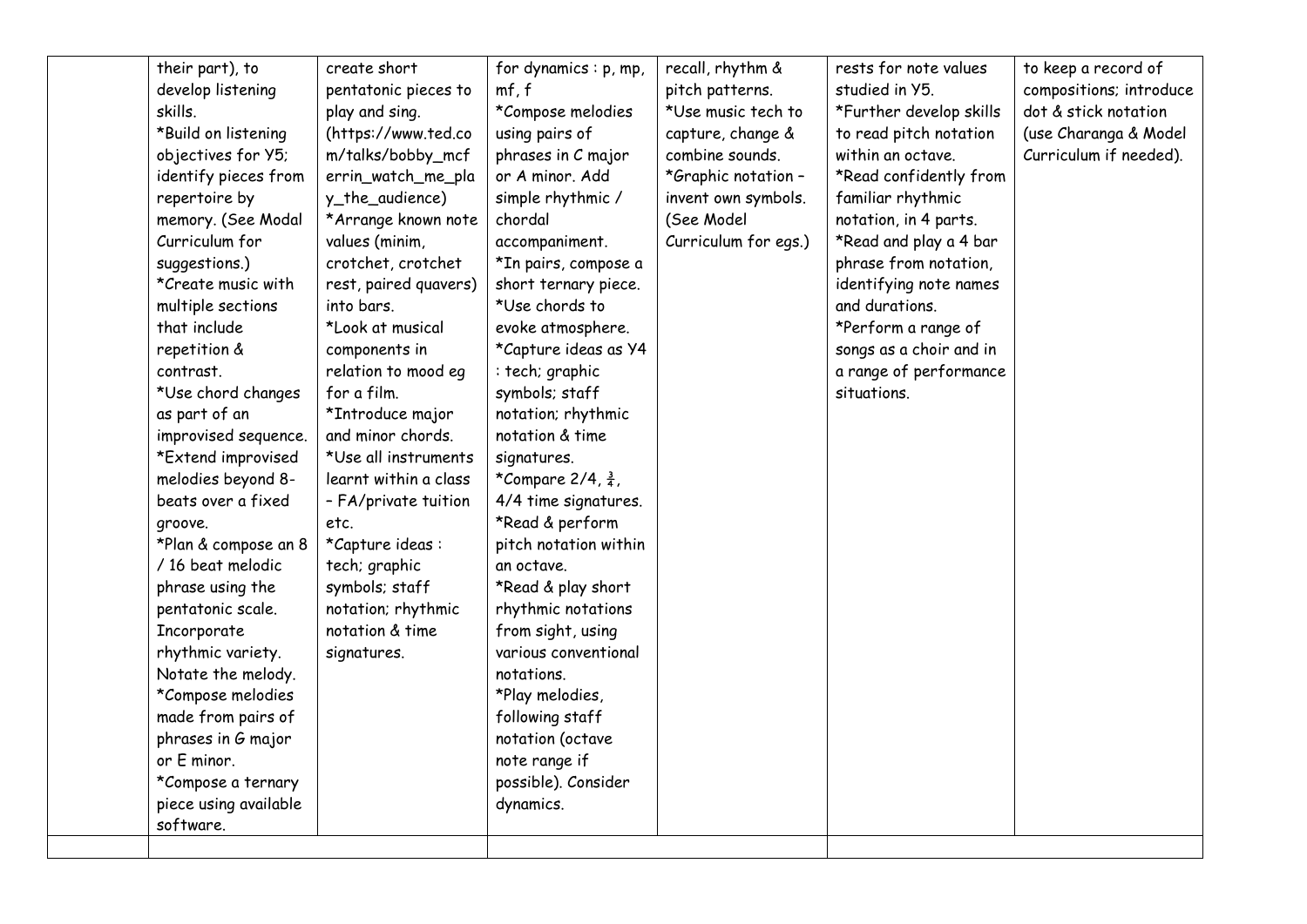| their part), to       | create short          | for dynamics : p, mp,         | recall, rhythm &     | rests for note values   | to keep a record of     |
|-----------------------|-----------------------|-------------------------------|----------------------|-------------------------|-------------------------|
| develop listening     | pentatonic pieces to  | mf, f                         | pitch patterns.      | studied in Y5.          | compositions; introduce |
| skills.               | play and sing.        | *Compose melodies             | *Use music tech to   | *Further develop skills | dot & stick notation    |
| *Build on listening   | (https://www.ted.co   | using pairs of                | capture, change &    | to read pitch notation  | (use Charanga & Model   |
| objectives for Y5;    | m/talks/bobby_mcf     | phrases in C major            | combine sounds.      | within an octave.       | Curriculum if needed).  |
| identify pieces from  | errin_watch_me_pla    | or A minor, Add               | *Graphic notation -  | *Read confidently from  |                         |
| repertoire by         | y_the_audience)       | simple rhythmic /             | invent own symbols.  | familiar rhythmic       |                         |
| memory. (See Modal    | *Arrange known note   | chordal                       | (See Model           | notation, in 4 parts.   |                         |
| Curriculum for        | values (minim,        | accompaniment.                | Curriculum for egs.) | *Read and play a 4 bar  |                         |
| suggestions.)         | crotchet, crotchet    | *In pairs, compose a          |                      | phrase from notation,   |                         |
| *Create music with    | rest, paired quavers) | short ternary piece.          |                      | identifying note names  |                         |
| multiple sections     | into bars.            | *Use chords to                |                      | and durations.          |                         |
| that include          | *Look at musical      | evoke atmosphere.             |                      | *Perform a range of     |                         |
| repetition &          | components in         | *Capture ideas as Y4          |                      | songs as a choir and in |                         |
| contrast.             | relation to mood eg   | : tech; graphic               |                      | a range of performance  |                         |
| *Use chord changes    | for a film.           | symbols; staff                |                      | situations.             |                         |
| as part of an         | *Introduce major      | notation; rhythmic            |                      |                         |                         |
| improvised sequence.  | and minor chords.     | notation & time               |                      |                         |                         |
| *Extend improvised    | *Use all instruments  | signatures.                   |                      |                         |                         |
| melodies beyond 8-    | learnt within a class | *Compare 2/4, $\frac{3}{4}$ , |                      |                         |                         |
| beats over a fixed    | - FA/private tuition  | 4/4 time signatures.          |                      |                         |                         |
| groove.               | etc.                  | *Read & perform               |                      |                         |                         |
| *Plan & compose an 8  | *Capture ideas:       | pitch notation within         |                      |                         |                         |
| / 16 beat melodic     | tech; graphic         | an octave.                    |                      |                         |                         |
| phrase using the      | symbols; staff        | *Read & play short            |                      |                         |                         |
| pentatonic scale.     | notation; rhythmic    | rhythmic notations            |                      |                         |                         |
| Incorporate           | notation & time       | from sight, using             |                      |                         |                         |
| rhythmic variety.     | signatures.           | various conventional          |                      |                         |                         |
| Notate the melody.    |                       | notations.                    |                      |                         |                         |
| *Compose melodies     |                       | *Play melodies,               |                      |                         |                         |
| made from pairs of    |                       | following staff               |                      |                         |                         |
| phrases in G major    |                       | notation (octave              |                      |                         |                         |
| or E minor.           |                       | note range if                 |                      |                         |                         |
| *Compose a ternary    |                       | possible). Consider           |                      |                         |                         |
| piece using available |                       | dynamics.                     |                      |                         |                         |
| software.             |                       |                               |                      |                         |                         |
|                       |                       |                               |                      |                         |                         |